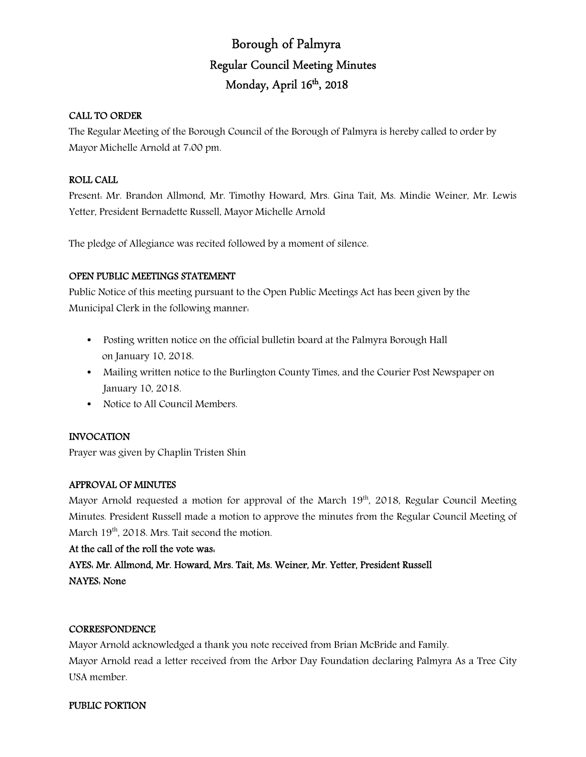# Borough of Palmyra Regular Council Meeting Minutes Monday, April 16<sup>th</sup>, 2018

# CALL TO ORDER

The Regular Meeting of the Borough Council of the Borough of Palmyra is hereby called to order by Mayor Michelle Arnold at 7:00 pm.

# ROLL CALL

Present: Mr. Brandon Allmond, Mr. Timothy Howard, Mrs. Gina Tait, Ms. Mindie Weiner, Mr. Lewis Yetter, President Bernadette Russell, Mayor Michelle Arnold

The pledge of Allegiance was recited followed by a moment of silence.

#### OPEN PUBLIC MEETINGS STATEMENT

Public Notice of this meeting pursuant to the Open Public Meetings Act has been given by the Municipal Clerk in the following manner:

- Posting written notice on the official bulletin board at the Palmyra Borough Hall on January 10, 2018.
- Mailing written notice to the Burlington County Times, and the Courier Post Newspaper on January 10, 2018.
- Notice to All Council Members.

#### INVOCATION

Prayer was given by Chaplin Tristen Shin

#### APPROVAL OF MINUTES

Mayor Arnold requested a motion for approval of the March  $19<sup>th</sup>$ , 2018, Regular Council Meeting Minutes. President Russell made a motion to approve the minutes from the Regular Council Meeting of March 19<sup>th</sup>, 2018. Mrs. Tait second the motion.

#### At the call of the roll the vote was:

AYES: Mr. Allmond, Mr. Howard, Mrs. Tait, Ms. Weiner, Mr. Yetter, President Russell NAYES: None

#### **CORRESPONDENCE**

Mayor Arnold acknowledged a thank you note received from Brian McBride and Family. Mayor Arnold read a letter received from the Arbor Day Foundation declaring Palmyra As a Tree City USA member.

#### PUBLIC PORTION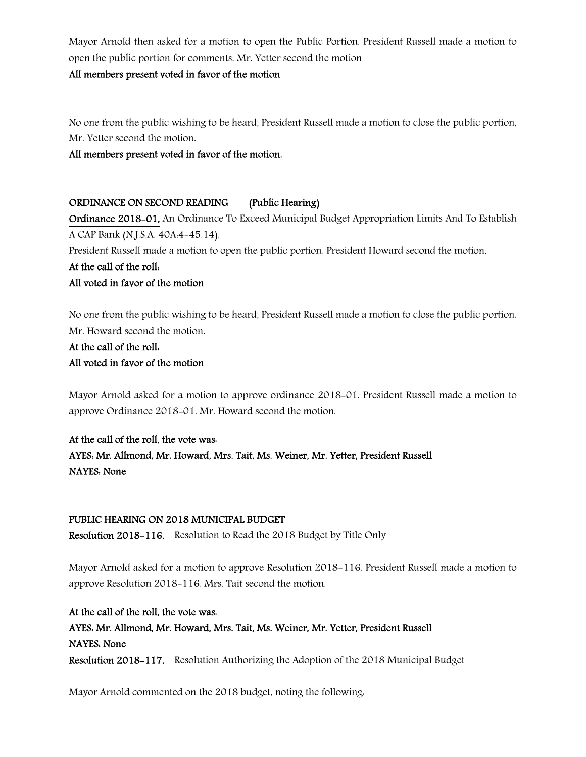Mayor Arnold then asked for a motion to open the Public Portion. President Russell made a motion to open the public portion for comments. Mr. Yetter second the motion

#### All members present voted in favor of the motion

No one from the public wishing to be heard, President Russell made a motion to close the public portion, Mr. Yetter second the motion.

All members present voted in favor of the motion.

# ORDINANCE ON SECOND READING (Public Hearing)

Ordinance 2018-01, An Ordinance To Exceed Municipal Budget Appropriation Limits And To Establish A CAP Bank (N.J.S.A. 40A:4-45.14).

President Russell made a motion to open the public portion. President Howard second the motion.

# At the call of the roll: All voted in favor of the motion

No one from the public wishing to be heard, President Russell made a motion to close the public portion. Mr. Howard second the motion.

# At the call of the roll: All voted in favor of the motion

Mayor Arnold asked for a motion to approve ordinance 2018-01. President Russell made a motion to approve Ordinance 2018-01. Mr. Howard second the motion.

# At the call of the roll, the vote was:

AYES: Mr. Allmond, Mr. Howard, Mrs. Tait, Ms. Weiner, Mr. Yetter, President Russell NAYES: None

# PUBLIC HEARING ON 2018 MUNICIPAL BUDGET

Resolution 2018-116, Resolution to Read the 2018 Budget by Title Only

Mayor Arnold asked for a motion to approve Resolution 2018-116. President Russell made a motion to approve Resolution 2018-116. Mrs. Tait second the motion.

At the call of the roll, the vote was: AYES: Mr. Allmond, Mr. Howard, Mrs. Tait, Ms. Weiner, Mr. Yetter, President Russell NAYES: None Resolution 2018-117, Resolution Authorizing the Adoption of the 2018 Municipal Budget

Mayor Arnold commented on the 2018 budget, noting the following: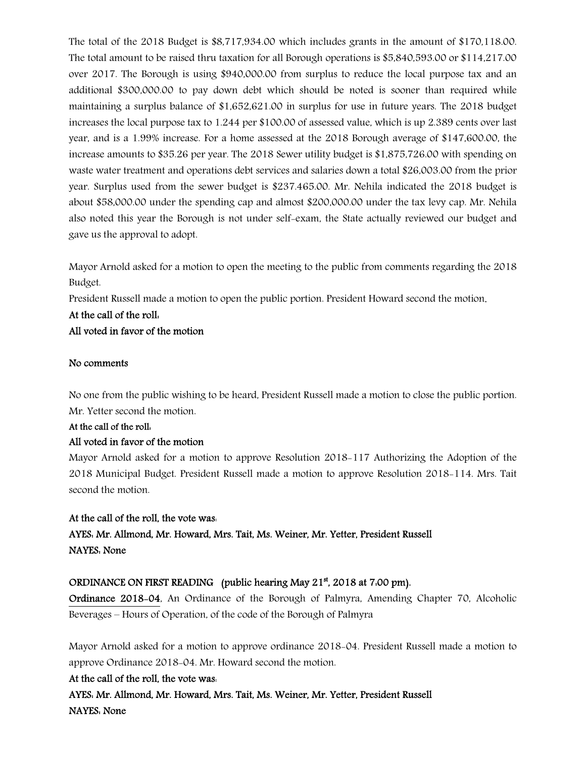The total of the 2018 Budget is \$8,717,934.00 which includes grants in the amount of \$170,118.00. The total amount to be raised thru taxation for all Borough operations is \$5,840,593.00 or \$114,217.00 over 2017. The Borough is using \$940,000.00 from surplus to reduce the local purpose tax and an additional \$300,000.00 to pay down debt which should be noted is sooner than required while maintaining a surplus balance of \$1,652,621.00 in surplus for use in future years. The 2018 budget increases the local purpose tax to 1.244 per \$100.00 of assessed value, which is up 2.389 cents over last year, and is a 1.99% increase. For a home assessed at the 2018 Borough average of \$147,600.00, the increase amounts to \$35.26 per year. The 2018 Sewer utility budget is \$1,875,726.00 with spending on waste water treatment and operations debt services and salaries down a total \$26,003.00 from the prior year. Surplus used from the sewer budget is \$237.465.00. Mr. Nehila indicated the 2018 budget is about \$58,000.00 under the spending cap and almost \$200,000.00 under the tax levy cap. Mr. Nehila also noted this year the Borough is not under self-exam, the State actually reviewed our budget and gave us the approval to adopt.

Mayor Arnold asked for a motion to open the meeting to the public from comments regarding the 2018 Budget.

President Russell made a motion to open the public portion. President Howard second the motion.

# At the call of the roll: All voted in favor of the motion

#### No comments

No one from the public wishing to be heard, President Russell made a motion to close the public portion. Mr. Yetter second the motion.

# At the call of the roll: All voted in favor of the motion

Mayor Arnold asked for a motion to approve Resolution 2018-117 Authorizing the Adoption of the 2018 Municipal Budget. President Russell made a motion to approve Resolution 2018-114. Mrs. Tait second the motion.

# At the call of the roll, the vote was:

AYES: Mr. Allmond, Mr. Howard, Mrs. Tait, Ms. Weiner, Mr. Yetter, President Russell NAYES: None

# ORDINANCE ON FIRST READING (public hearing May 21<sup>st</sup>, 2018 at 7.00 pm).

Ordinance 2018-04, An Ordinance of the Borough of Palmyra, Amending Chapter 70, Alcoholic Beverages – Hours of Operation, of the code of the Borough of Palmyra

Mayor Arnold asked for a motion to approve ordinance 2018-04. President Russell made a motion to approve Ordinance 2018-04. Mr. Howard second the motion.

# At the call of the roll, the vote was:

AYES: Mr. Allmond, Mr. Howard, Mrs. Tait, Ms. Weiner, Mr. Yetter, President Russell NAYES: None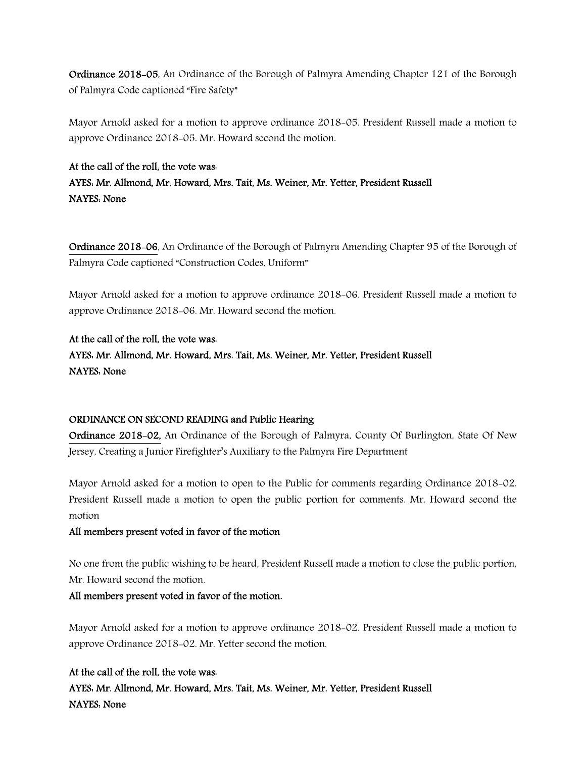Ordinance 2018-05, An Ordinance of the Borough of Palmyra Amending Chapter 121 of the Borough of Palmyra Code captioned "Fire Safety"

Mayor Arnold asked for a motion to approve ordinance 2018-05. President Russell made a motion to approve Ordinance 2018-05. Mr. Howard second the motion.

### At the call of the roll, the vote was:

AYES: Mr. Allmond, Mr. Howard, Mrs. Tait, Ms. Weiner, Mr. Yetter, President Russell NAYES: None

Ordinance 2018-06, An Ordinance of the Borough of Palmyra Amending Chapter 95 of the Borough of Palmyra Code captioned "Construction Codes, Uniform"

Mayor Arnold asked for a motion to approve ordinance 2018-06. President Russell made a motion to approve Ordinance 2018-06. Mr. Howard second the motion.

# At the call of the roll, the vote was:

AYES: Mr. Allmond, Mr. Howard, Mrs. Tait, Ms. Weiner, Mr. Yetter, President Russell NAYES: None

# ORDINANCE ON SECOND READING and Public Hearing

Ordinance 2018-02, An Ordinance of the Borough of Palmyra, County Of Burlington, State Of New Jersey, Creating a Junior Firefighter's Auxiliary to the Palmyra Fire Department

Mayor Arnold asked for a motion to open to the Public for comments regarding Ordinance 2018-02. President Russell made a motion to open the public portion for comments. Mr. Howard second the motion

# All members present voted in favor of the motion

No one from the public wishing to be heard, President Russell made a motion to close the public portion, Mr. Howard second the motion.

# All members present voted in favor of the motion.

Mayor Arnold asked for a motion to approve ordinance 2018-02. President Russell made a motion to approve Ordinance 2018-02. Mr. Yetter second the motion.

# At the call of the roll, the vote was:

AYES: Mr. Allmond, Mr. Howard, Mrs. Tait, Ms. Weiner, Mr. Yetter, President Russell NAYES: None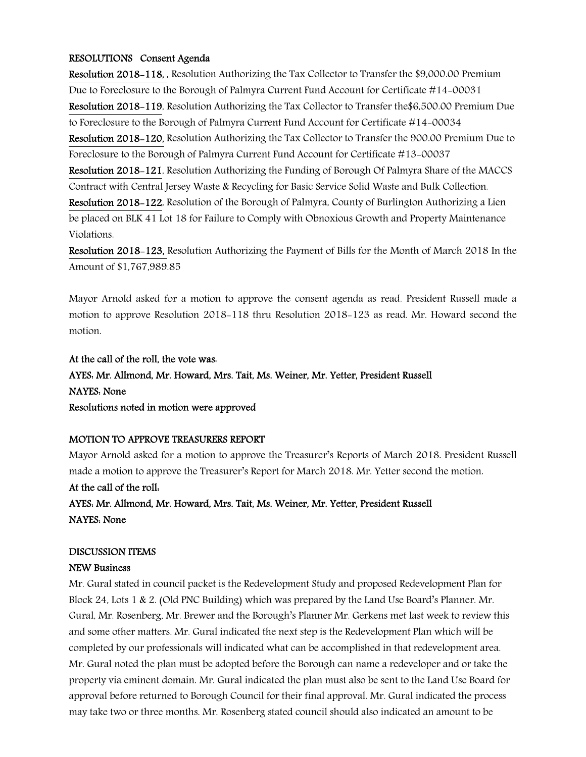#### RESOLUTIONS Consent Agenda

Resolution 2018-118, , Resolution Authorizing the Tax Collector to Transfer the \$9,000.00 Premium Due to Foreclosure to the Borough of Palmyra Current Fund Account for Certificate #14-00031 Resolution 2018-119, Resolution Authorizing the Tax Collector to Transfer the\$6,500.00 Premium Due to Foreclosure to the Borough of Palmyra Current Fund Account for Certificate #14-00034 Resolution 2018-120, Resolution Authorizing the Tax Collector to Transfer the 900.00 Premium Due to Foreclosure to the Borough of Palmyra Current Fund Account for Certificate #13-00037 Resolution 2018-121, Resolution Authorizing the Funding of Borough Of Palmyra Share of the MACCS Contract with Central Jersey Waste & Recycling for Basic Service Solid Waste and Bulk Collection. Resolution 2018-122, Resolution of the Borough of Palmyra, County of Burlington Authorizing a Lien be placed on BLK 41 Lot 18 for Failure to Comply with Obnoxious Growth and Property Maintenance Violations.

Resolution 2018-123, Resolution Authorizing the Payment of Bills for the Month of March 2018 In the Amount of \$1,767,989.85

Mayor Arnold asked for a motion to approve the consent agenda as read. President Russell made a motion to approve Resolution 2018-118 thru Resolution 2018-123 as read. Mr. Howard second the motion.

# At the call of the roll, the vote was:

# AYES: Mr. Allmond, Mr. Howard, Mrs. Tait, Ms. Weiner, Mr. Yetter, President Russell NAYES: None

Resolutions noted in motion were approved

#### MOTION TO APPROVE TREASURERS REPORT

Mayor Arnold asked for a motion to approve the Treasurer's Reports of March 2018. President Russell made a motion to approve the Treasurer's Report for March 2018. Mr. Yetter second the motion.

At the call of the roll: AYES: Mr. Allmond, Mr. Howard, Mrs. Tait, Ms. Weiner, Mr. Yetter, President Russell NAYES: None

#### DISCUSSION ITEMS

#### NEW Business

Mr. Gural stated in council packet is the Redevelopment Study and proposed Redevelopment Plan for Block 24, Lots 1 & 2. (Old PNC Building) which was prepared by the Land Use Board's Planner. Mr. Gural, Mr. Rosenberg, Mr. Brewer and the Borough's Planner Mr. Gerkens met last week to review this and some other matters. Mr. Gural indicated the next step is the Redevelopment Plan which will be completed by our professionals will indicated what can be accomplished in that redevelopment area. Mr. Gural noted the plan must be adopted before the Borough can name a redeveloper and or take the property via eminent domain. Mr. Gural indicated the plan must also be sent to the Land Use Board for approval before returned to Borough Council for their final approval. Mr. Gural indicated the process may take two or three months. Mr. Rosenberg stated council should also indicated an amount to be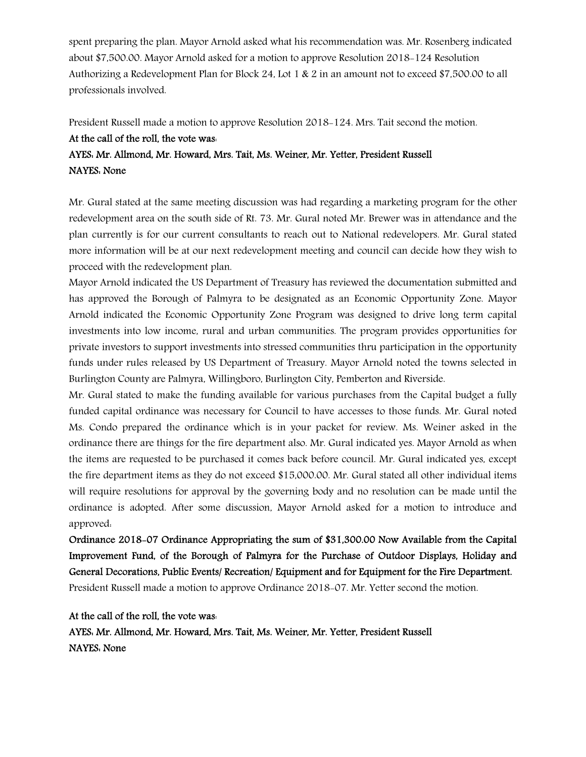spent preparing the plan. Mayor Arnold asked what his recommendation was. Mr. Rosenberg indicated about \$7,500.00. Mayor Arnold asked for a motion to approve Resolution 2018-124 Resolution Authorizing a Redevelopment Plan for Block 24, Lot 1 & 2 in an amount not to exceed \$7,500.00 to all professionals involved.

President Russell made a motion to approve Resolution 2018-124. Mrs. Tait second the motion.

# At the call of the roll, the vote was:

# AYES: Mr. Allmond, Mr. Howard, Mrs. Tait, Ms. Weiner, Mr. Yetter, President Russell NAYES: None

Mr. Gural stated at the same meeting discussion was had regarding a marketing program for the other redevelopment area on the south side of Rt. 73. Mr. Gural noted Mr. Brewer was in attendance and the plan currently is for our current consultants to reach out to National redevelopers. Mr. Gural stated more information will be at our next redevelopment meeting and council can decide how they wish to proceed with the redevelopment plan.

Mayor Arnold indicated the US Department of Treasury has reviewed the documentation submitted and has approved the Borough of Palmyra to be designated as an Economic Opportunity Zone. Mayor Arnold indicated the Economic Opportunity Zone Program was designed to drive long term capital investments into low income, rural and urban communities. The program provides opportunities for private investors to support investments into stressed communities thru participation in the opportunity funds under rules released by US Department of Treasury. Mayor Arnold noted the towns selected in Burlington County are Palmyra, Willingboro, Burlington City, Pemberton and Riverside.

Mr. Gural stated to make the funding available for various purchases from the Capital budget a fully funded capital ordinance was necessary for Council to have accesses to those funds. Mr. Gural noted Ms. Condo prepared the ordinance which is in your packet for review. Ms. Weiner asked in the ordinance there are things for the fire department also. Mr. Gural indicated yes. Mayor Arnold as when the items are requested to be purchased it comes back before council. Mr. Gural indicated yes, except the fire department items as they do not exceed \$15,000.00. Mr. Gural stated all other individual items will require resolutions for approval by the governing body and no resolution can be made until the ordinance is adopted. After some discussion, Mayor Arnold asked for a motion to introduce and approved:

Ordinance 2018-07 Ordinance Appropriating the sum of \$31,300.00 Now Available from the Capital Improvement Fund, of the Borough of Palmyra for the Purchase of Outdoor Displays, Holiday and General Decorations, Public Events/ Recreation/ Equipment and for Equipment for the Fire Department. President Russell made a motion to approve Ordinance 2018-07. Mr. Yetter second the motion.

At the call of the roll, the vote was: AYES: Mr. Allmond, Mr. Howard, Mrs. Tait, Ms. Weiner, Mr. Yetter, President Russell NAYES: None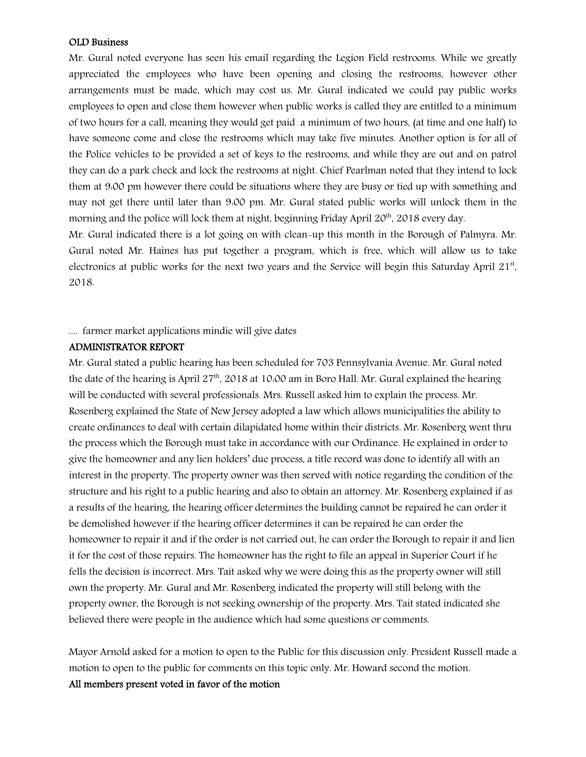#### OLD Business

Mr. Gural noted everyone has seen his email regarding the Legion Field restrooms. While we greatly appreciated the employees who have been opening and closing the restrooms, however other arrangements must be made, which may cost us. Mr. Gural indicated we could pay public works employees to open and close them however when public works is called they are entitled to a minimum of two hours for a call, meaning they would get paid a minimum of two hours, (at time and one half) to have someone come and close the restrooms which may take five minutes. Another option is for all of the Police vehicles to be provided a set of keys to the restrooms, and while they are out and on patrol they can do a park check and lock the restrooms at night. Chief Pearlman noted that they intend to lock them at 9:00 pm however there could be situations where they are busy or tied up with something and may not get there until later than 9:00 pm. Mr. Gural stated public works will unlock them in the morning and the police will lock them at night, beginning Friday April 20<sup>th</sup>, 2018 every day.

Mr. Gural indicated there is a lot going on with clean-up this month in the Borough of Palmyra. Mr. Gural noted Mr. Haines has put together a program, which is free, which will allow us to take electronics at public works for the next two years and the Service will begin this Saturday April 21st, 2018.

### .... farmer market applications mindie will give dates

# ADMINISTRATOR REPORT

Mr. Gural stated a public hearing has been scheduled for 703 Pennsylvania Avenue. Mr. Gural noted the date of the hearing is April  $27<sup>th</sup>$ , 2018 at 10:00 am in Boro Hall. Mr. Gural explained the hearing will be conducted with several professionals. Mrs. Russell asked him to explain the process. Mr. Rosenberg explained the State of New Jersey adopted a law which allows municipalities the ability to create ordinances to deal with certain dilapidated home within their districts. Mr. Rosenberg went thru the process which the Borough must take in accordance with our Ordinance. He explained in order to give the homeowner and any lien holders' due process, a title record was done to identify all with an interest in the property. The property owner was then served with notice regarding the condition of the structure and his right to a public hearing and also to obtain an attorney. Mr. Rosenberg explained if as a results of the hearing, the hearing officer determines the building cannot be repaired he can order it be demolished however if the hearing officer determines it can be repaired he can order the homeowner to repair it and if the order is not carried out, he can order the Borough to repair it and lien it for the cost of those repairs. The homeowner has the right to file an appeal in Superior Court if he fells the decision is incorrect. Mrs. Tait asked why we were doing this as the property owner will still own the property. Mr. Gural and Mr. Rosenberg indicated the property will still belong with the property owner, the Borough is not seeking ownership of the property. Mrs. Tait stated indicated she believed there were people in the audience which had some questions or comments.

Mayor Arnold asked for a motion to open to the Public for this discussion only. President Russell made a motion to open to the public for comments on this topic only. Mr. Howard second the motion.

#### All members present voted in favor of the motion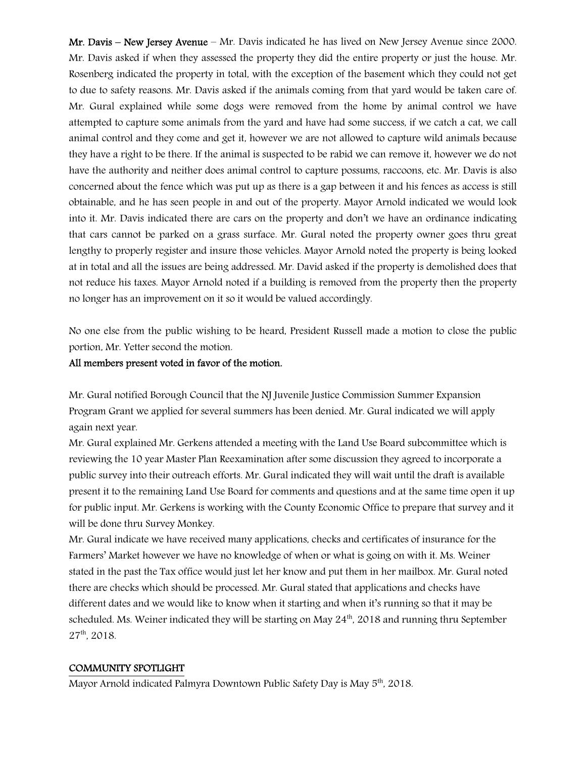Mr. Davis – New Jersey Avenue – Mr. Davis indicated he has lived on New Jersey Avenue since 2000. Mr. Davis asked if when they assessed the property they did the entire property or just the house. Mr. Rosenberg indicated the property in total, with the exception of the basement which they could not get to due to safety reasons. Mr. Davis asked if the animals coming from that yard would be taken care of. Mr. Gural explained while some dogs were removed from the home by animal control we have attempted to capture some animals from the yard and have had some success, if we catch a cat, we call animal control and they come and get it, however we are not allowed to capture wild animals because they have a right to be there. If the animal is suspected to be rabid we can remove it, however we do not have the authority and neither does animal control to capture possums, raccoons, etc. Mr. Davis is also concerned about the fence which was put up as there is a gap between it and his fences as access is still obtainable, and he has seen people in and out of the property. Mayor Arnold indicated we would look into it. Mr. Davis indicated there are cars on the property and don't we have an ordinance indicating that cars cannot be parked on a grass surface. Mr. Gural noted the property owner goes thru great lengthy to properly register and insure those vehicles. Mayor Arnold noted the property is being looked at in total and all the issues are being addressed. Mr. David asked if the property is demolished does that not reduce his taxes. Mayor Arnold noted if a building is removed from the property then the property no longer has an improvement on it so it would be valued accordingly.

No one else from the public wishing to be heard, President Russell made a motion to close the public portion, Mr. Yetter second the motion.

#### All members present voted in favor of the motion.

Mr. Gural notified Borough Council that the NJ Juvenile Justice Commission Summer Expansion Program Grant we applied for several summers has been denied. Mr. Gural indicated we will apply again next year.

Mr. Gural explained Mr. Gerkens attended a meeting with the Land Use Board subcommittee which is reviewing the 10 year Master Plan Reexamination after some discussion they agreed to incorporate a public survey into their outreach efforts. Mr. Gural indicated they will wait until the draft is available present it to the remaining Land Use Board for comments and questions and at the same time open it up for public input. Mr. Gerkens is working with the County Economic Office to prepare that survey and it will be done thru Survey Monkey.

Mr. Gural indicate we have received many applications, checks and certificates of insurance for the Farmers' Market however we have no knowledge of when or what is going on with it. Ms. Weiner stated in the past the Tax office would just let her know and put them in her mailbox. Mr. Gural noted there are checks which should be processed. Mr. Gural stated that applications and checks have different dates and we would like to know when it starting and when it's running so that it may be scheduled. Ms. Weiner indicated they will be starting on May  $24<sup>th</sup>$ , 2018 and running thru September 27th, 2018.

#### COMMUNITY SPOTLIGHT

Mayor Arnold indicated Palmyra Downtown Public Safety Day is May 5<sup>th</sup>, 2018.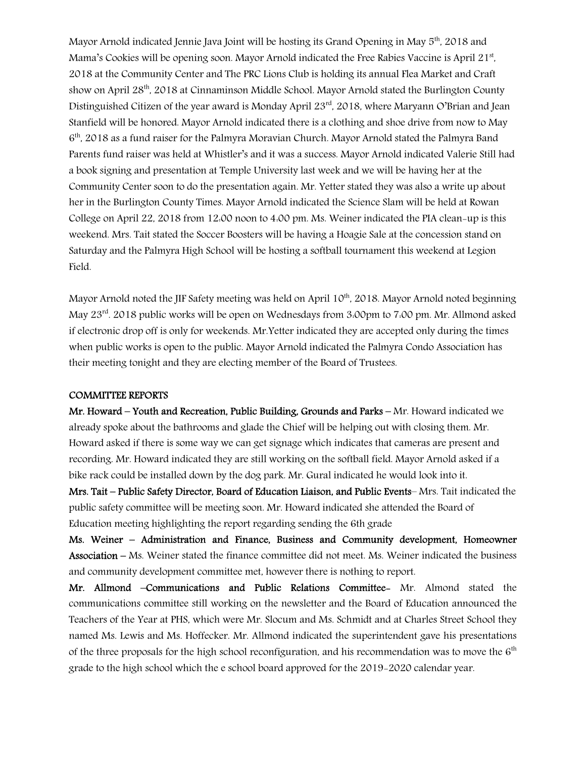Mayor Arnold indicated Jennie Java Joint will be hosting its Grand Opening in May 5<sup>th</sup>, 2018 and Mama's Cookies will be opening soon. Mayor Arnold indicated the Free Rabies Vaccine is April 21st, 2018 at the Community Center and The PRC Lions Club is holding its annual Flea Market and Craft show on April 28<sup>th</sup>, 2018 at Cinnaminson Middle School. Mayor Arnold stated the Burlington County Distinguished Citizen of the year award is Monday April 23<sup>rd</sup>, 2018, where Maryann O'Brian and Jean Stanfield will be honored. Mayor Arnold indicated there is a clothing and shoe drive from now to May 6<sup>th</sup>, 2018 as a fund raiser for the Palmyra Moravian Church. Mayor Arnold stated the Palmyra Band Parents fund raiser was held at Whistler's and it was a success. Mayor Arnold indicated Valerie Still had a book signing and presentation at Temple University last week and we will be having her at the Community Center soon to do the presentation again. Mr. Yetter stated they was also a write up about her in the Burlington County Times. Mayor Arnold indicated the Science Slam will be held at Rowan College on April 22, 2018 from 12:00 noon to 4:00 pm. Ms. Weiner indicated the PIA clean-up is this weekend. Mrs. Tait stated the Soccer Boosters will be having a Hoagie Sale at the concession stand on Saturday and the Palmyra High School will be hosting a softball tournament this weekend at Legion Field.

Mayor Arnold noted the JIF Safety meeting was held on April 10<sup>th</sup>, 2018. Mayor Arnold noted beginning May 23<sup>rd</sup>. 2018 public works will be open on Wednesdays from 3:00pm to 7:00 pm. Mr. Allmond asked if electronic drop off is only for weekends. Mr.Yetter indicated they are accepted only during the times when public works is open to the public. Mayor Arnold indicated the Palmyra Condo Association has their meeting tonight and they are electing member of the Board of Trustees.

#### COMMITTEE REPORTS

Mr. Howard – Youth and Recreation, Public Building, Grounds and Parks – Mr. Howard indicated we already spoke about the bathrooms and glade the Chief will be helping out with closing them. Mr. Howard asked if there is some way we can get signage which indicates that cameras are present and recording. Mr. Howard indicated they are still working on the softball field. Mayor Arnold asked if a bike rack could be installed down by the dog park. Mr. Gural indicated he would look into it.

Mrs. Tait – Public Safety Director, Board of Education Liaison, and Public Events– Mrs. Tait indicated the public safety committee will be meeting soon. Mr. Howard indicated she attended the Board of Education meeting highlighting the report regarding sending the 6th grade

Ms. Weiner – Administration and Finance, Business and Community development, Homeowner Association – Ms. Weiner stated the finance committee did not meet. Ms. Weiner indicated the business and community development committee met, however there is nothing to report.

Mr. Allmond –Communications and Public Relations Committee- Mr. Almond stated the communications committee still working on the newsletter and the Board of Education announced the Teachers of the Year at PHS, which were Mr. Slocum and Ms. Schmidt and at Charles Street School they named Ms. Lewis and Ms. Hoffecker. Mr. Allmond indicated the superintendent gave his presentations of the three proposals for the high school reconfiguration, and his recommendation was to move the  $6<sup>th</sup>$ grade to the high school which the e school board approved for the 2019-2020 calendar year.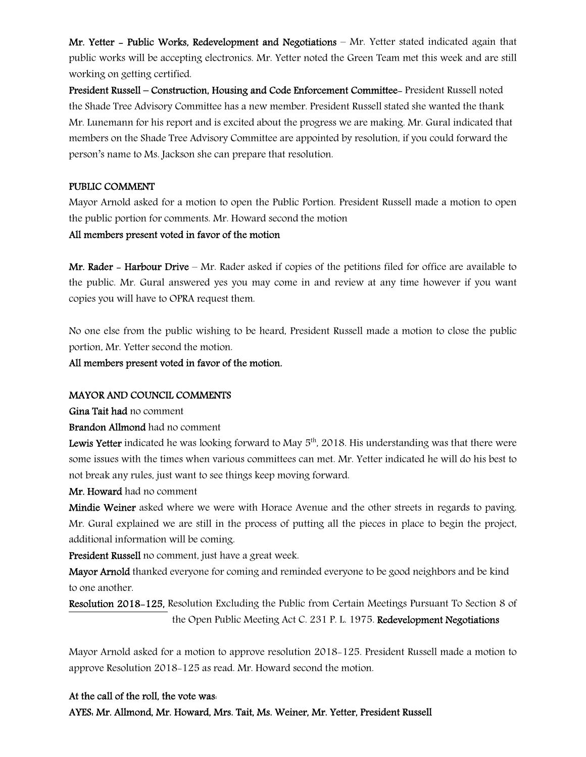Mr. Yetter - Public Works, Redevelopment and Negotiations – Mr. Yetter stated indicated again that public works will be accepting electronics. Mr. Yetter noted the Green Team met this week and are still working on getting certified.

President Russell – Construction, Housing and Code Enforcement Committee- President Russell noted the Shade Tree Advisory Committee has a new member. President Russell stated she wanted the thank Mr. Lunemann for his report and is excited about the progress we are making. Mr. Gural indicated that members on the Shade Tree Advisory Committee are appointed by resolution, if you could forward the person's name to Ms. Jackson she can prepare that resolution.

#### PUBLIC COMMENT

Mayor Arnold asked for a motion to open the Public Portion. President Russell made a motion to open the public portion for comments. Mr. Howard second the motion

#### All members present voted in favor of the motion

Mr. Rader – Harbour Drive – Mr. Rader asked if copies of the petitions filed for office are available to the public. Mr. Gural answered yes you may come in and review at any time however if you want copies you will have to OPRA request them.

No one else from the public wishing to be heard, President Russell made a motion to close the public portion, Mr. Yetter second the motion.

All members present voted in favor of the motion.

#### MAYOR AND COUNCIL COMMENTS

Gina Tait had no comment

Brandon Allmond had no comment

**Lewis Yetter** indicated he was looking forward to May  $5<sup>th</sup>$ , 2018. His understanding was that there were some issues with the times when various committees can met. Mr. Yetter indicated he will do his best to not break any rules, just want to see things keep moving forward.

Mr. Howard had no comment

Mindie Weiner asked where we were with Horace Avenue and the other streets in regards to paving. Mr. Gural explained we are still in the process of putting all the pieces in place to begin the project, additional information will be coming.

President Russell no comment, just have a great week.

Mayor Arnold thanked everyone for coming and reminded everyone to be good neighbors and be kind to one another.

Resolution 2018-125, Resolution Excluding the Public from Certain Meetings Pursuant To Section 8 of the Open Public Meeting Act C. 231 P. L. 1975. Redevelopment Negotiations

Mayor Arnold asked for a motion to approve resolution 2018-125. President Russell made a motion to approve Resolution 2018-125 as read. Mr. Howard second the motion.

#### At the call of the roll, the vote was:

AYES: Mr. Allmond, Mr. Howard, Mrs. Tait, Ms. Weiner, Mr. Yetter, President Russell